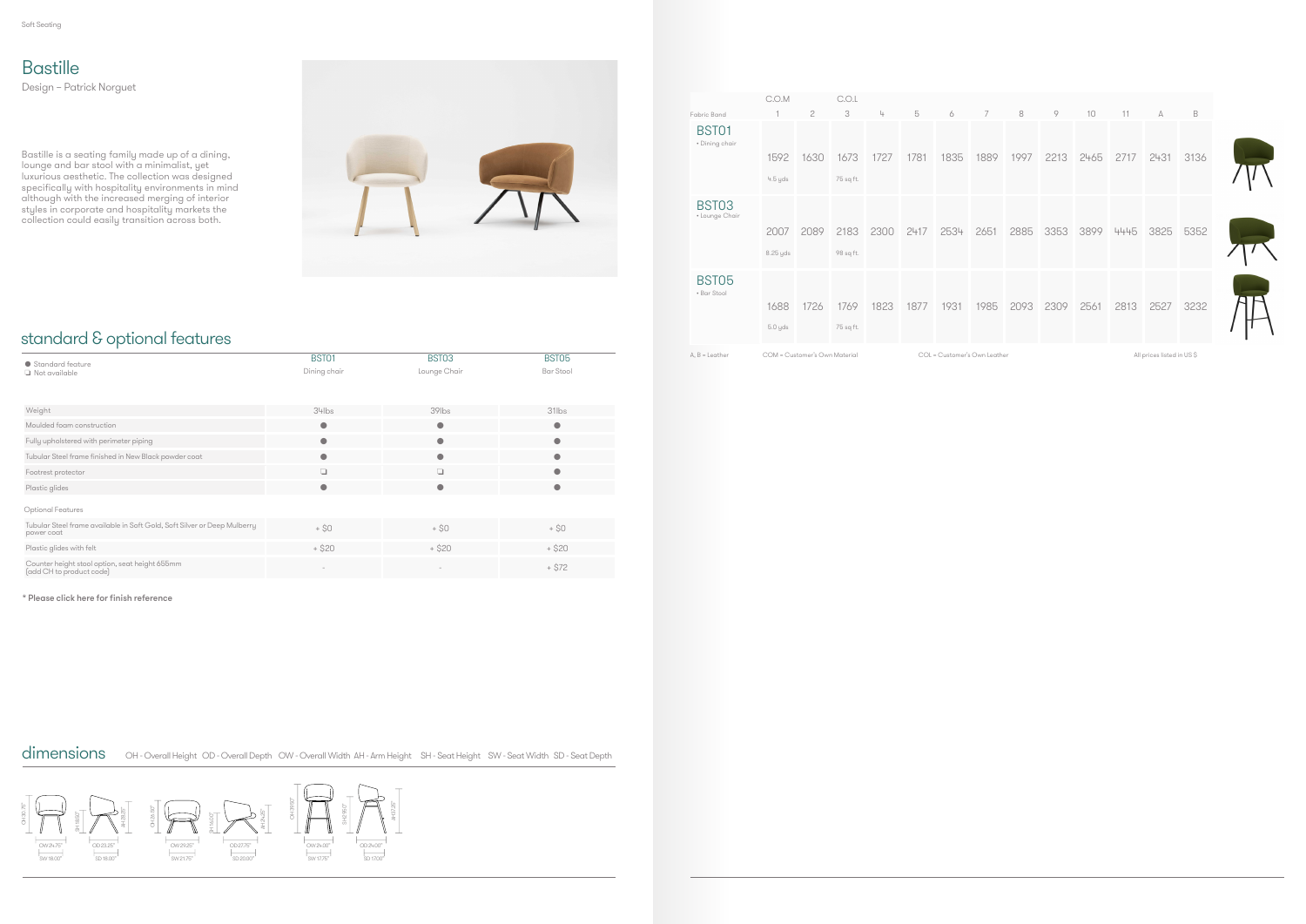## standard & optional features

## **Bastille**

Design – Patrick Norguet

Bastille is a seating family made up of a dining, lounge and bar stool with a minimalist, yet luxurious aesthetic. The collection was designed specifically with hospitality environments in mind although with the increased merging of interior styles in corporate and hospitality markets the collection could easily transition across both.



\* Please click here for finish reference

dimensions OH - Overall Height OD - Overall Depth OW - Overall Width AH - Arm Height SH - Seat Height SW - Seat Width SD - Seat Depth

| • Standard feature                                                                     | BST01        | BST03        | BST05            |  |  |
|----------------------------------------------------------------------------------------|--------------|--------------|------------------|--|--|
| Not available                                                                          | Dining chair | Lounge Chair | <b>Bar Stool</b> |  |  |
|                                                                                        |              |              |                  |  |  |
|                                                                                        |              |              |                  |  |  |
| Weight                                                                                 | $34$ lbs     | $39$ lbs     | $31$ lbs         |  |  |
| Moulded foam construction                                                              | $\bullet$    | $\bullet$    | $\bullet$        |  |  |
| Fully upholstered with perimeter piping                                                | $\bullet$    | 0            |                  |  |  |
| Tubular Steel frame finished in New Black powder coat                                  | $\bullet$    | ●            |                  |  |  |
| Footrest protector                                                                     | $\Box$       | ❏            |                  |  |  |
| Plastic glides                                                                         | $\bullet$    | $\bullet$    |                  |  |  |
| Optional Features                                                                      |              |              |                  |  |  |
| Tubular Steel frame available in Soft Gold, Soft Silver or Deep Mulberry<br>power coat | $+$ \$0      | $+$ \$0      | $+$ \$0          |  |  |
| Plastic glides with felt                                                               | $+ $20$      | $+ $20$      | $+ $20$          |  |  |
| Counter height stool option, seat height 655mm<br>(add CH to product code)             |              |              | $+ $72$          |  |  |

|                                                                                                                                                                                                                                                                                                                | C.O.M    |      | C.O.L     |      |      |      |      |      |      |                                                                                                                 |      |      |      |
|----------------------------------------------------------------------------------------------------------------------------------------------------------------------------------------------------------------------------------------------------------------------------------------------------------------|----------|------|-----------|------|------|------|------|------|------|-----------------------------------------------------------------------------------------------------------------|------|------|------|
| Fabric Band                                                                                                                                                                                                                                                                                                    |          | 2    | 3         | 4    | 5    | 6    | 7    | 8    | 9    | 10                                                                                                              | 11   | А    | B    |
| BST01<br>• Dining chair                                                                                                                                                                                                                                                                                        |          |      |           |      |      |      |      |      |      |                                                                                                                 |      |      |      |
|                                                                                                                                                                                                                                                                                                                | 1592     | 1630 | 1673      | 1727 | 1781 | 1835 | 1889 | 1997 | 2213 | 2465                                                                                                            | 2717 | 2431 | 3136 |
|                                                                                                                                                                                                                                                                                                                | 4.5 yds  |      | 75 sq ft. |      |      |      |      |      |      |                                                                                                                 |      |      |      |
| BST03<br>• Lounge Chair                                                                                                                                                                                                                                                                                        |          |      |           |      |      |      |      |      |      |                                                                                                                 |      |      |      |
|                                                                                                                                                                                                                                                                                                                | 2007     | 2089 | 2183      | 2300 | 2417 | 2534 | 2651 | 2885 | 3353 | 3899                                                                                                            | 4445 | 3825 | 5352 |
|                                                                                                                                                                                                                                                                                                                | 8.25 yds |      | 98 sq ft. |      |      |      |      |      |      |                                                                                                                 |      |      |      |
| BST05<br>• Bar Stool                                                                                                                                                                                                                                                                                           |          |      |           |      |      |      |      |      |      |                                                                                                                 |      |      |      |
|                                                                                                                                                                                                                                                                                                                | 1688     | 1726 | 1769      | 1823 | 1877 | 1931 | 1985 | 2093 | 2309 | 2561                                                                                                            | 2813 | 2527 | 3232 |
|                                                                                                                                                                                                                                                                                                                | 5.0 yds  |      | 75 sq ft. |      |      |      |      |      |      |                                                                                                                 |      |      |      |
| ------<br>the state of the state of the state of the state of the state of the state of the state of the state of the state of the state of the state of the state of the state of the state of the state of the state of the state of t<br>and and a state of the con-<br>the property of the control of<br>. |          |      |           |      |      |      |      |      |      | the contract of the contract of the contract of the contract of the contract of the contract of the contract of |      |      |      |



All prices listed in US \$